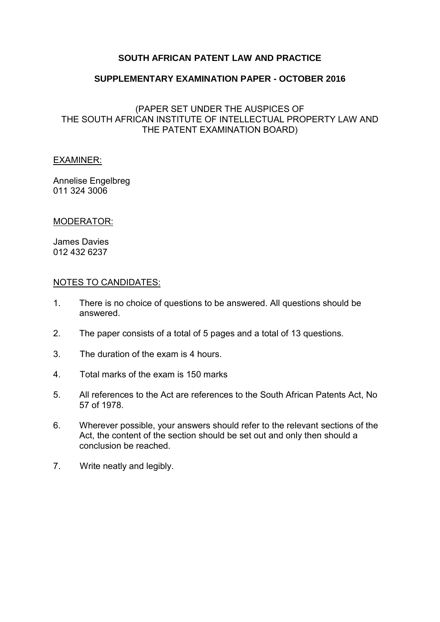### **SOUTH AFRICAN PATENT LAW AND PRACTICE**

### **SUPPLEMENTARY EXAMINATION PAPER - OCTOBER 2016**

(PAPER SET UNDER THE AUSPICES OF THE SOUTH AFRICAN INSTITUTE OF INTELLECTUAL PROPERTY LAW AND THE PATENT EXAMINATION BOARD)

### EXAMINER:

Annelise Engelbreg 011 324 3006

### MODERATOR:

James Davies 012 432 6237

### NOTES TO CANDIDATES:

- 1. There is no choice of questions to be answered. All questions should be answered.
- 2. The paper consists of a total of 5 pages and a total of 13 questions.
- 3. The duration of the exam is 4 hours.
- 4. Total marks of the exam is 150 marks
- 5. All references to the Act are references to the South African Patents Act, No 57 of 1978.
- 6. Wherever possible, your answers should refer to the relevant sections of the Act, the content of the section should be set out and only then should a conclusion be reached.
- 7. Write neatly and legibly.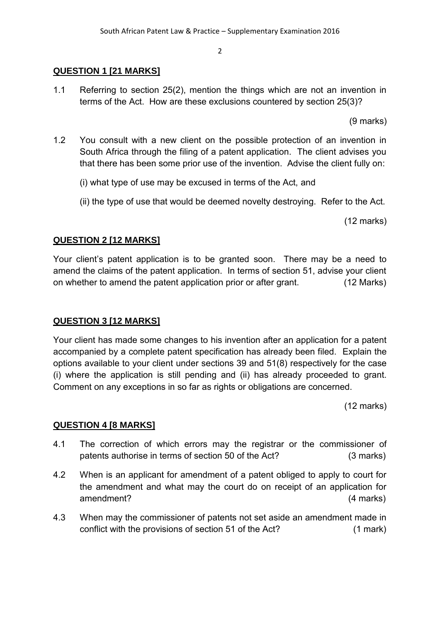# **QUESTION 1 [21 MARKS]**

1.1 Referring to section 25(2), mention the things which are not an invention in terms of the Act. How are these exclusions countered by section 25(3)?

(9 marks)

- 1.2 You consult with a new client on the possible protection of an invention in South Africa through the filing of a patent application. The client advises you that there has been some prior use of the invention. Advise the client fully on:
	- (i) what type of use may be excused in terms of the Act, and
	- (ii) the type of use that would be deemed novelty destroying. Refer to the Act.

(12 marks)

# **QUESTION 2 [12 MARKS]**

Your client's patent application is to be granted soon. There may be a need to amend the claims of the patent application. In terms of section 51, advise your client on whether to amend the patent application prior or after grant. (12 Marks)

# **QUESTION 3 [12 MARKS]**

Your client has made some changes to his invention after an application for a patent accompanied by a complete patent specification has already been filed. Explain the options available to your client under sections 39 and 51(8) respectively for the case (i) where the application is still pending and (ii) has already proceeded to grant. Comment on any exceptions in so far as rights or obligations are concerned.

(12 marks)

# **QUESTION 4 [8 MARKS]**

- 4.1 The correction of which errors may the registrar or the commissioner of patents authorise in terms of section 50 of the Act? (3 marks)
- 4.2 When is an applicant for amendment of a patent obliged to apply to court for the amendment and what may the court do on receipt of an application for amendment? (4 marks)
- 4.3 When may the commissioner of patents not set aside an amendment made in conflict with the provisions of section 51 of the Act? (1 mark)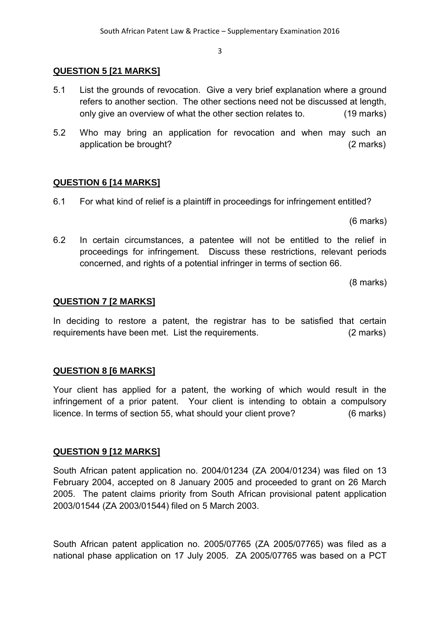### **QUESTION 5 [21 MARKS]**

- 5.1 List the grounds of revocation. Give a very brief explanation where a ground refers to another section. The other sections need not be discussed at length, only give an overview of what the other section relates to. (19 marks)
- 5.2 Who may bring an application for revocation and when may such an application be brought? (2 marks)

### **QUESTION 6 [14 MARKS]**

6.1 For what kind of relief is a plaintiff in proceedings for infringement entitled?

(6 marks)

6.2 In certain circumstances, a patentee will not be entitled to the relief in proceedings for infringement. Discuss these restrictions, relevant periods concerned, and rights of a potential infringer in terms of section 66.

(8 marks)

### **QUESTION 7 [2 MARKS]**

In deciding to restore a patent, the registrar has to be satisfied that certain requirements have been met. List the requirements. (2 marks)

### **QUESTION 8 [6 MARKS]**

Your client has applied for a patent, the working of which would result in the infringement of a prior patent. Your client is intending to obtain a compulsory licence. In terms of section 55, what should your client prove? (6 marks)

### **QUESTION 9 [12 MARKS]**

South African patent application no. 2004/01234 (ZA 2004/01234) was filed on 13 February 2004, accepted on 8 January 2005 and proceeded to grant on 26 March 2005. The patent claims priority from South African provisional patent application 2003/01544 (ZA 2003/01544) filed on 5 March 2003.

South African patent application no. 2005/07765 (ZA 2005/07765) was filed as a national phase application on 17 July 2005. ZA 2005/07765 was based on a PCT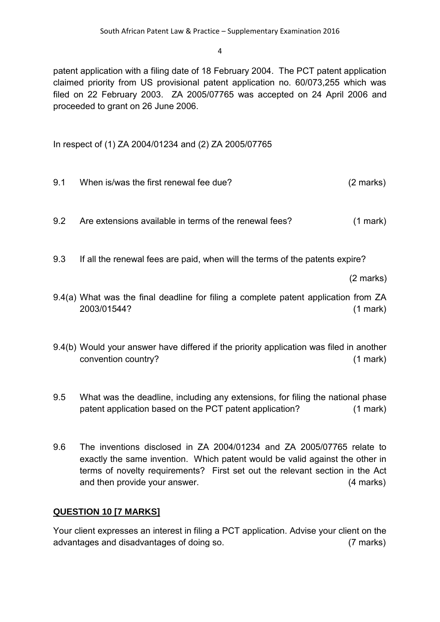patent application with a filing date of 18 February 2004. The PCT patent application claimed priority from US provisional patent application no. 60/073,255 which was filed on 22 February 2003. ZA 2005/07765 was accepted on 24 April 2006 and proceeded to grant on 26 June 2006.

In respect of (1) ZA 2004/01234 and (2) ZA 2005/07765

- 9.1 When is/was the first renewal fee due? (2 marks)
- 9.2 Are extensions available in terms of the renewal fees? (1 mark)

9.3 If all the renewal fees are paid, when will the terms of the patents expire?

(2 marks)

- 9.4(a) What was the final deadline for filing a complete patent application from ZA 2003/01544? (1 mark)
- 9.4(b) Would your answer have differed if the priority application was filed in another convention country? (1 mark)
- 9.5 What was the deadline, including any extensions, for filing the national phase patent application based on the PCT patent application? (1 mark)
- 9.6 The inventions disclosed in ZA 2004/01234 and ZA 2005/07765 relate to exactly the same invention. Which patent would be valid against the other in terms of novelty requirements? First set out the relevant section in the Act and then provide your answer. (4 marks)

# **QUESTION 10 [7 MARKS]**

Your client expresses an interest in filing a PCT application. Advise your client on the advantages and disadvantages of doing so. (7 marks)